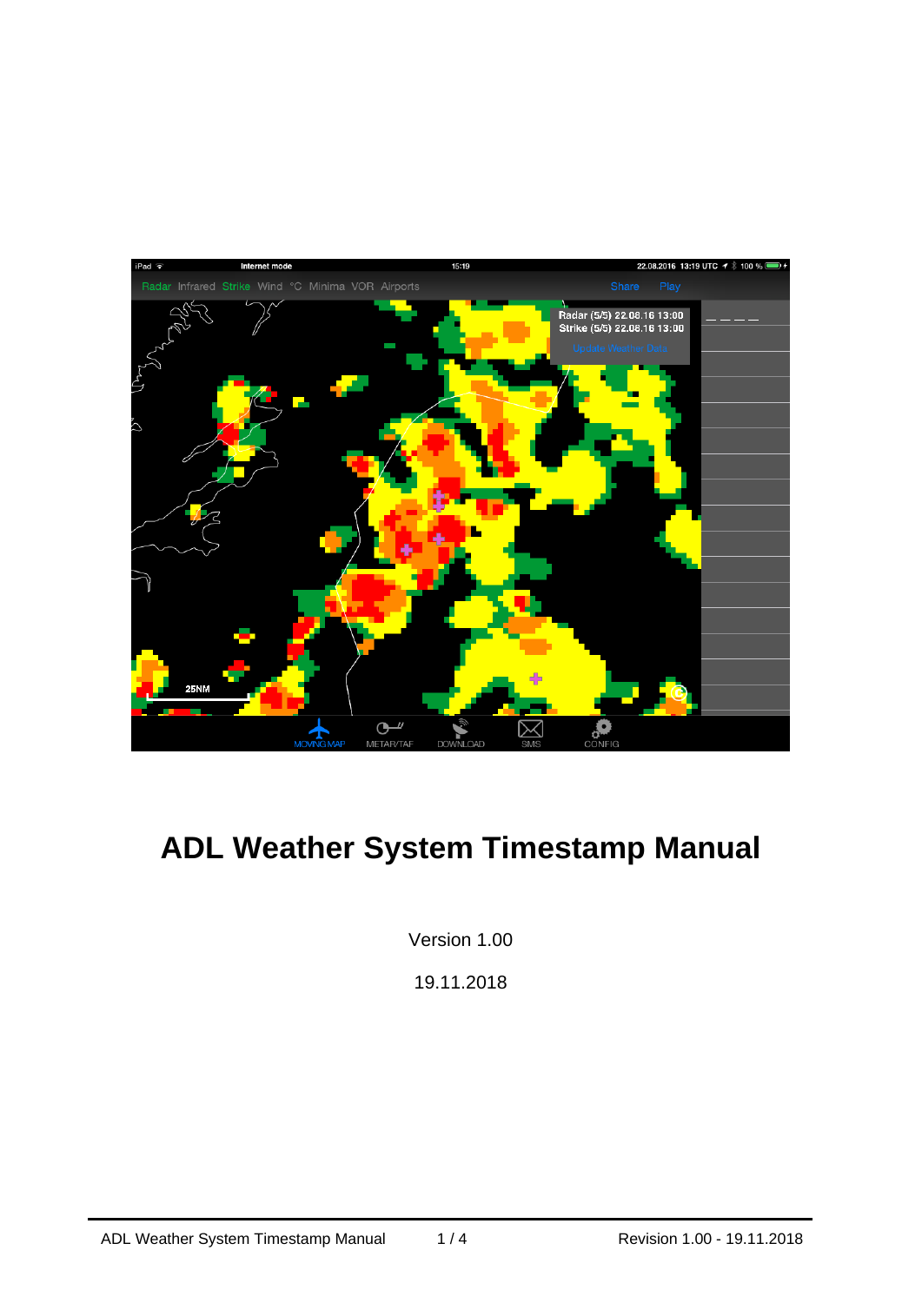

# **ADL Weather System Timestamp Manual**

Version 1.00

19.11.2018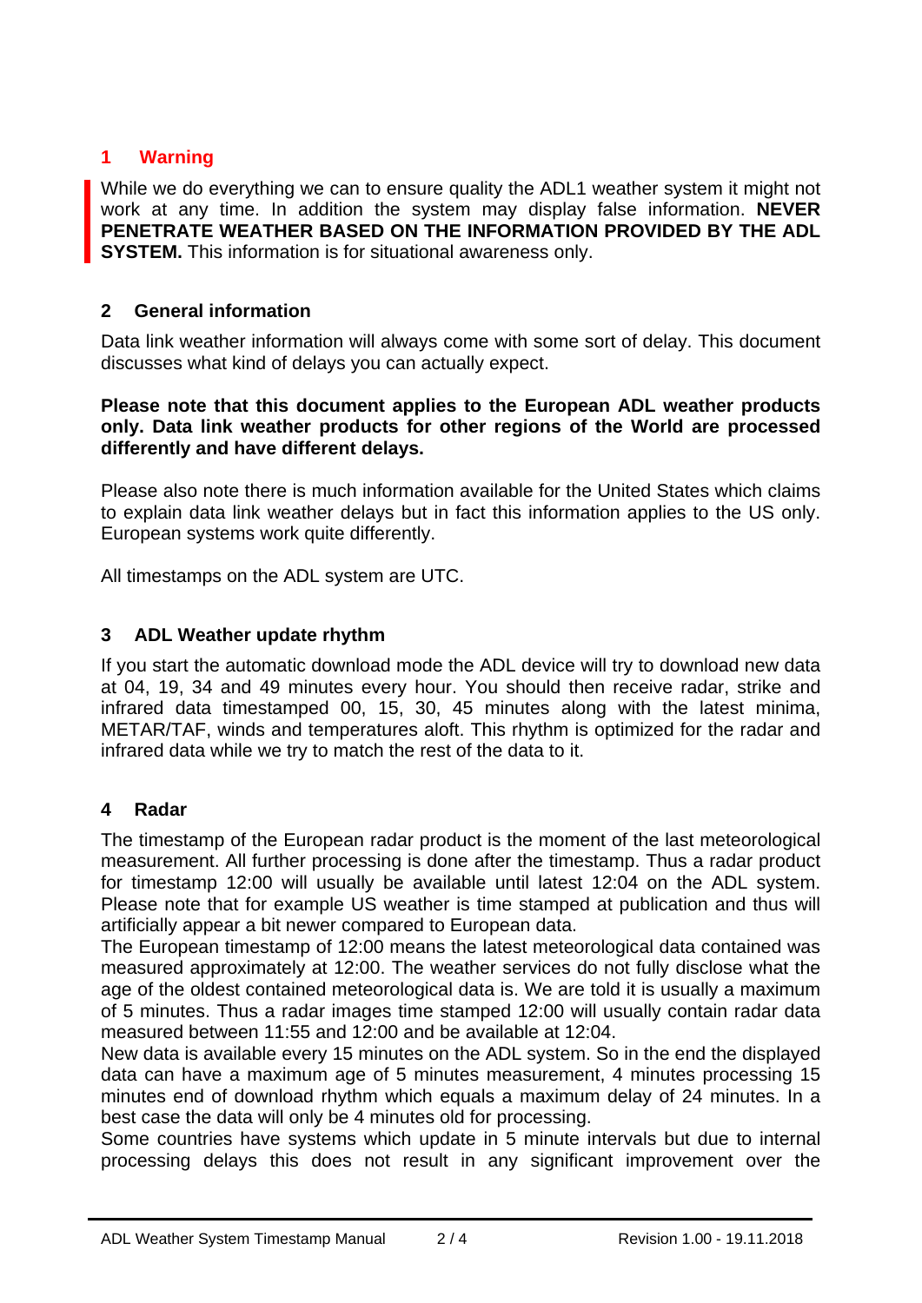## **1 Warning**

While we do everything we can to ensure quality the ADL1 weather system it might not work at any time. In addition the system may display false information. **NEVER PENETRATE WEATHER BASED ON THE INFORMATION PROVIDED BY THE ADL SYSTEM.** This information is for situational awareness only.

### **2 General information**

Data link weather information will always come with some sort of delay. This document discusses what kind of delays you can actually expect.

#### **Please note that this document applies to the European ADL weather products only. Data link weather products for other regions of the World are processed differently and have different delays.**

Please also note there is much information available for the United States which claims to explain data link weather delays but in fact this information applies to the US only. European systems work quite differently.

All timestamps on the ADL system are UTC.

#### **3 ADL Weather update rhythm**

If you start the automatic download mode the ADL device will try to download new data at 04, 19, 34 and 49 minutes every hour. You should then receive radar, strike and infrared data timestamped 00, 15, 30, 45 minutes along with the latest minima, METAR/TAF, winds and temperatures aloft. This rhythm is optimized for the radar and infrared data while we try to match the rest of the data to it.

#### **4 Radar**

The timestamp of the European radar product is the moment of the last meteorological measurement. All further processing is done after the timestamp. Thus a radar product for timestamp 12:00 will usually be available until latest 12:04 on the ADL system. Please note that for example US weather is time stamped at publication and thus will artificially appear a bit newer compared to European data.

The European timestamp of 12:00 means the latest meteorological data contained was measured approximately at 12:00. The weather services do not fully disclose what the age of the oldest contained meteorological data is. We are told it is usually a maximum of 5 minutes. Thus a radar images time stamped 12:00 will usually contain radar data measured between 11:55 and 12:00 and be available at 12:04.

New data is available every 15 minutes on the ADL system. So in the end the displayed data can have a maximum age of 5 minutes measurement, 4 minutes processing 15 minutes end of download rhythm which equals a maximum delay of 24 minutes. In a best case the data will only be 4 minutes old for processing.

Some countries have systems which update in 5 minute intervals but due to internal processing delays this does not result in any significant improvement over the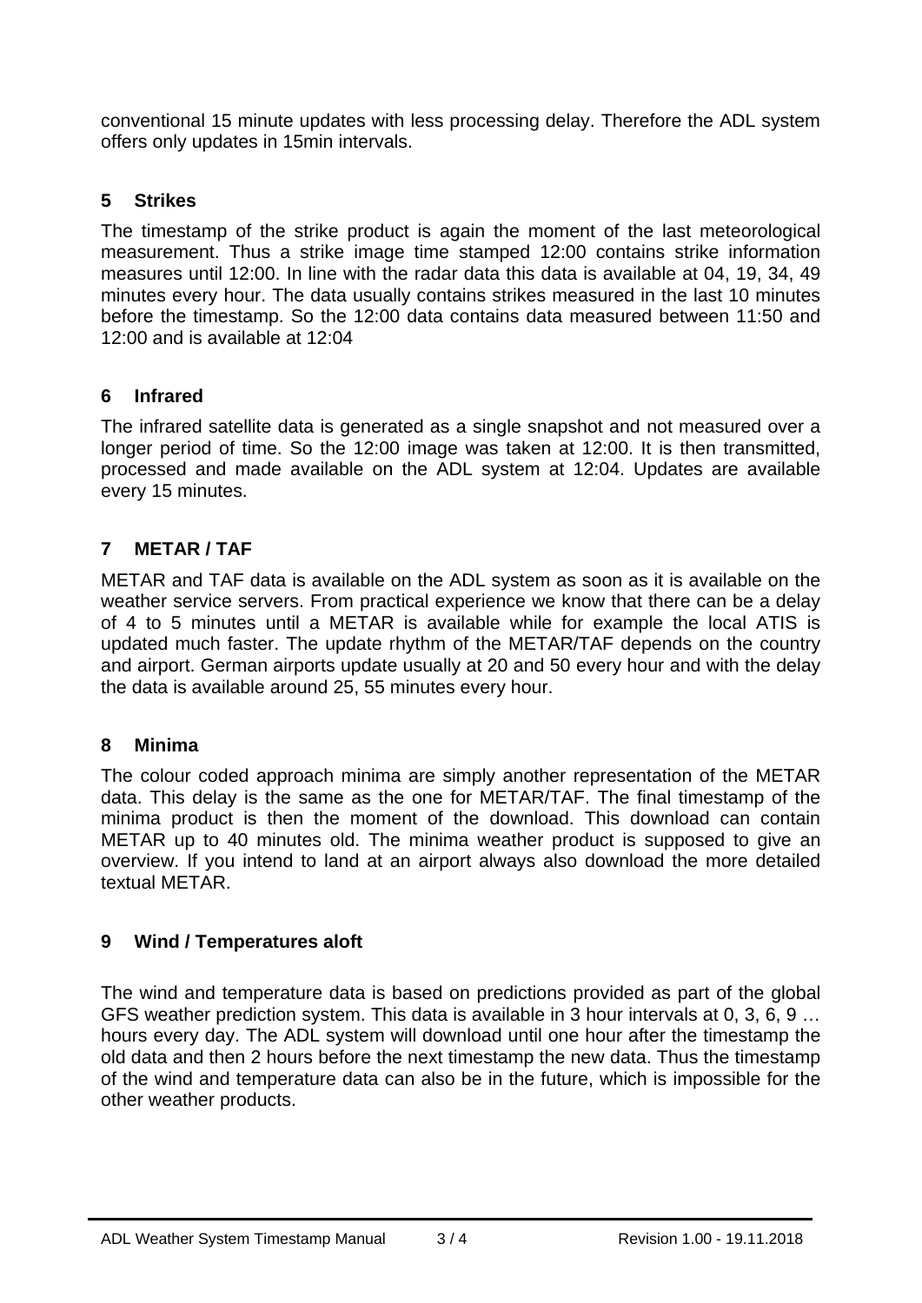conventional 15 minute updates with less processing delay. Therefore the ADL system offers only updates in 15min intervals.

## **5 Strikes**

The timestamp of the strike product is again the moment of the last meteorological measurement. Thus a strike image time stamped 12:00 contains strike information measures until 12:00. In line with the radar data this data is available at 04, 19, 34, 49 minutes every hour. The data usually contains strikes measured in the last 10 minutes before the timestamp. So the 12:00 data contains data measured between 11:50 and 12:00 and is available at 12:04

#### **6 Infrared**

The infrared satellite data is generated as a single snapshot and not measured over a longer period of time. So the 12:00 image was taken at 12:00. It is then transmitted, processed and made available on the ADL system at 12:04. Updates are available every 15 minutes.

## **7 METAR / TAF**

METAR and TAF data is available on the ADL system as soon as it is available on the weather service servers. From practical experience we know that there can be a delay of 4 to 5 minutes until a METAR is available while for example the local ATIS is updated much faster. The update rhythm of the METAR/TAF depends on the country and airport. German airports update usually at 20 and 50 every hour and with the delay the data is available around 25, 55 minutes every hour.

## **8 Minima**

The colour coded approach minima are simply another representation of the METAR data. This delay is the same as the one for METAR/TAF. The final timestamp of the minima product is then the moment of the download. This download can contain METAR up to 40 minutes old. The minima weather product is supposed to give an overview. If you intend to land at an airport always also download the more detailed textual METAR.

## **9 Wind / Temperatures aloft**

The wind and temperature data is based on predictions provided as part of the global GFS weather prediction system. This data is available in 3 hour intervals at 0, 3, 6, 9 … hours every day. The ADL system will download until one hour after the timestamp the old data and then 2 hours before the next timestamp the new data. Thus the timestamp of the wind and temperature data can also be in the future, which is impossible for the other weather products.